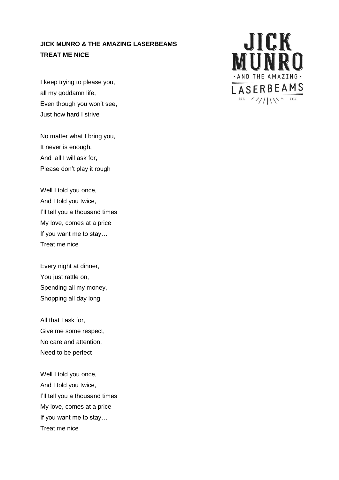## **JICK MUNRO & THE AMAZING LASERBEAMS TREAT ME NICE**

I keep trying to please you, all my goddamn life, Even though you won't see, Just how hard I strive

No matter what I bring you, It never is enough, And all I will ask for, Please don't play it rough

Well I told you once, And I told you twice, I'll tell you a thousand times My love, comes at a price If you want me to stay… Treat me nice

Every night at dinner, You just rattle on, Spending all my money, Shopping all day long

All that I ask for, Give me some respect, No care and attention, Need to be perfect

Well I told you once, And I told you twice, I'll tell you a thousand times My love, comes at a price If you want me to stay… Treat me nice